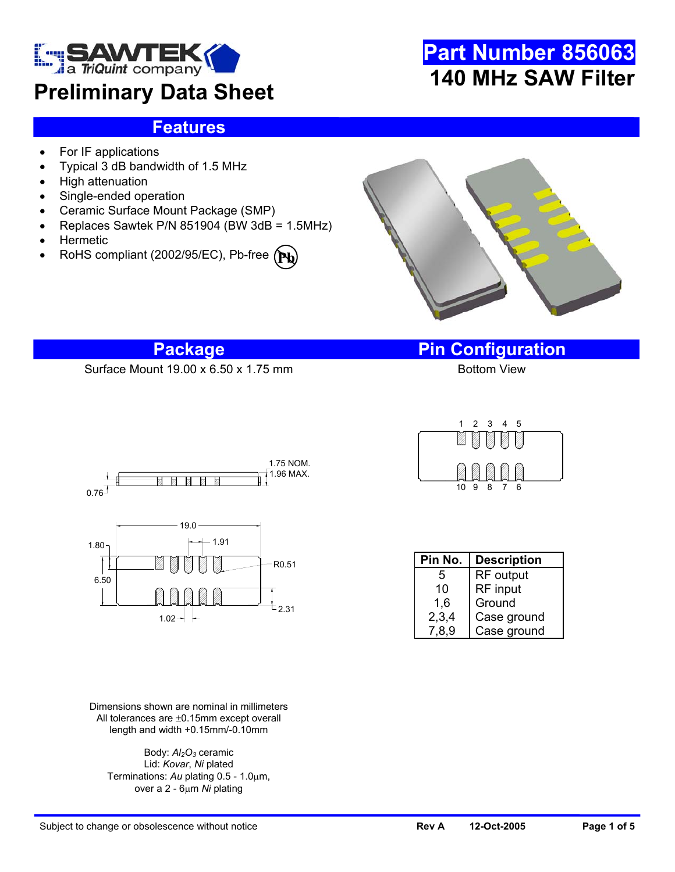

### **Preliminary Data Sheet**

# **Part Number 856063 140 MHz SAW Filter**

### **Features**

- For IF applications
- Typical 3 dB bandwidth of 1.5 MHz
- High attenuation
- Single-ended operation
- Ceramic Surface Mount Package (SMP)
- Replaces Sawtek P/N 851904 (BW 3dB = 1.5MHz)
- **Hermetic**
- RoHS compliant (2002/95/EC), Pb-free **(Pb**



Surface Mount 19.00 x 6.50 x 1.75 mm

**Package Pin Configuration**





Dimensions shown are nominal in millimeters All tolerances are ±0.15mm except overall length and width +0.15mm/-0.10mm

Body:  $Al_2O_3$  ceramic Lid: *Kovar*, *Ni* plated Terminations: *Au* plating 0.5 - 1.0µm, over a 2 - 6µm *Ni* plating

 $10 \t9 \t8$ 1 2 3 4 5

| Pin No. | <b>Description</b> |  |
|---------|--------------------|--|
| 5       | <b>RF</b> output   |  |
| 10      | RF input           |  |
| 1,6     | Ground             |  |
| 2,3,4   | Case ground        |  |
| 7.8.9   | Case ground        |  |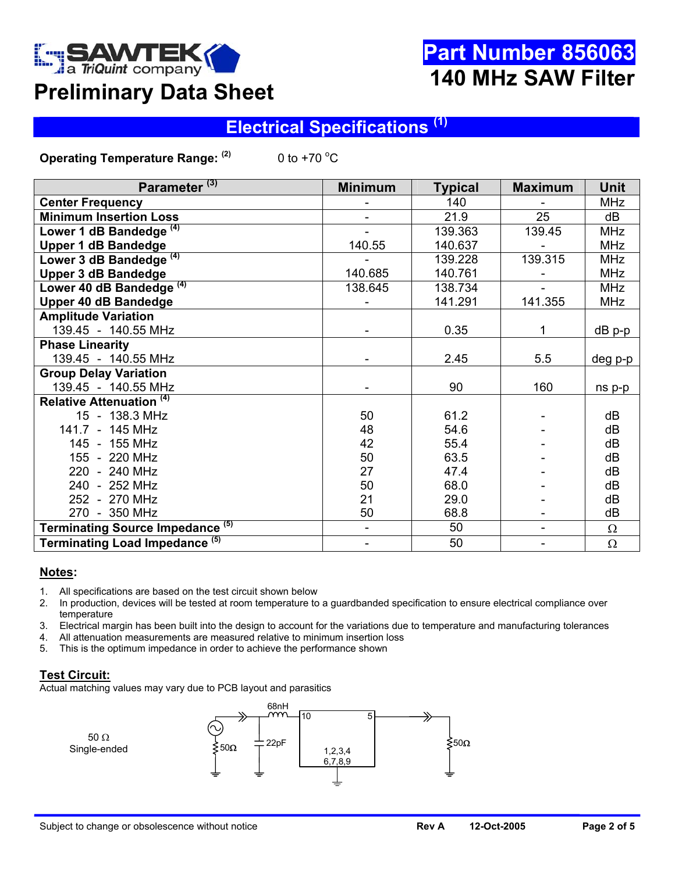

# **Part Number 856063 140 MHz SAW Filter**

# **Preliminary Data Sheet**

### **Electrical Specifications (1)**

**Operating Temperature Range: (2)** 0 to +70  $\mathrm{^{\circ}C}$ 

| Parameter <sup>(3)</sup>                    | <b>Minimum</b> | <b>Typical</b> | <b>Maximum</b>           | <b>Unit</b> |
|---------------------------------------------|----------------|----------------|--------------------------|-------------|
| <b>Center Frequency</b>                     |                | 140            |                          | <b>MHz</b>  |
| <b>Minimum Insertion Loss</b>               |                | 21.9           | 25                       | dB          |
| Lower 1 dB Bandedge <sup>(4)</sup>          |                | 139.363        | 139.45                   | <b>MHz</b>  |
| <b>Upper 1 dB Bandedge</b>                  | 140.55         | 140.637        |                          | <b>MHz</b>  |
| Lower 3 dB Bandedge <sup>(4)</sup>          |                | 139.228        | 139.315                  | <b>MHz</b>  |
| <b>Upper 3 dB Bandedge</b>                  | 140.685        | 140.761        |                          | <b>MHz</b>  |
| Lower 40 dB Bandedge <sup>(4)</sup>         | 138.645        | 138.734        |                          | <b>MHz</b>  |
| <b>Upper 40 dB Bandedge</b>                 |                | 141.291        | 141.355                  | <b>MHz</b>  |
| <b>Amplitude Variation</b>                  |                |                |                          |             |
| 139.45 - 140.55 MHz                         |                | 0.35           | 1                        | $dB$ p-p    |
| <b>Phase Linearity</b>                      |                |                |                          |             |
| 139.45 - 140.55 MHz                         |                | 2.45           | 5.5                      | deg p-p     |
| <b>Group Delay Variation</b>                |                |                |                          |             |
| 139.45 - 140.55 MHz                         |                | 90             | 160                      | ns p-p      |
| <b>Relative Attenuation (4)</b>             |                |                |                          |             |
| 15 - 138.3 MHz                              | 50             | 61.2           |                          | dB          |
| 141.7 - 145 MHz                             | 48             | 54.6           |                          | dB          |
| 145 - 155 MHz                               | 42             | 55.4           |                          | dB          |
| 155 - 220 MHz                               | 50             | 63.5           |                          | dB          |
| 220 - 240 MHz                               | 27             | 47.4           |                          | dB          |
| 240 - 252 MHz                               | 50             | 68.0           |                          | dB          |
| 252 - 270 MHz                               | 21             | 29.0           |                          | dB          |
| 270 - 350 MHz                               | 50             | 68.8           |                          | dB          |
| Terminating Source Impedance <sup>(5)</sup> | $\blacksquare$ | 50             | $\overline{\phantom{a}}$ | $\Omega$    |
| Terminating Load Impedance <sup>(5)</sup>   |                | 50             | $\blacksquare$           | $\Omega$    |

#### **Notes:**

- 1. All specifications are based on the test circuit shown below
- 2. In production, devices will be tested at room temperature to a guardbanded specification to ensure electrical compliance over temperature
- 3. Electrical margin has been built into the design to account for the variations due to temperature and manufacturing tolerances
- 4. All attenuation measurements are measured relative to minimum insertion loss
- 5. This is the optimum impedance in order to achieve the performance shown

#### **Test Circuit:**

Actual matching values may vary due to PCB layout and parasitics

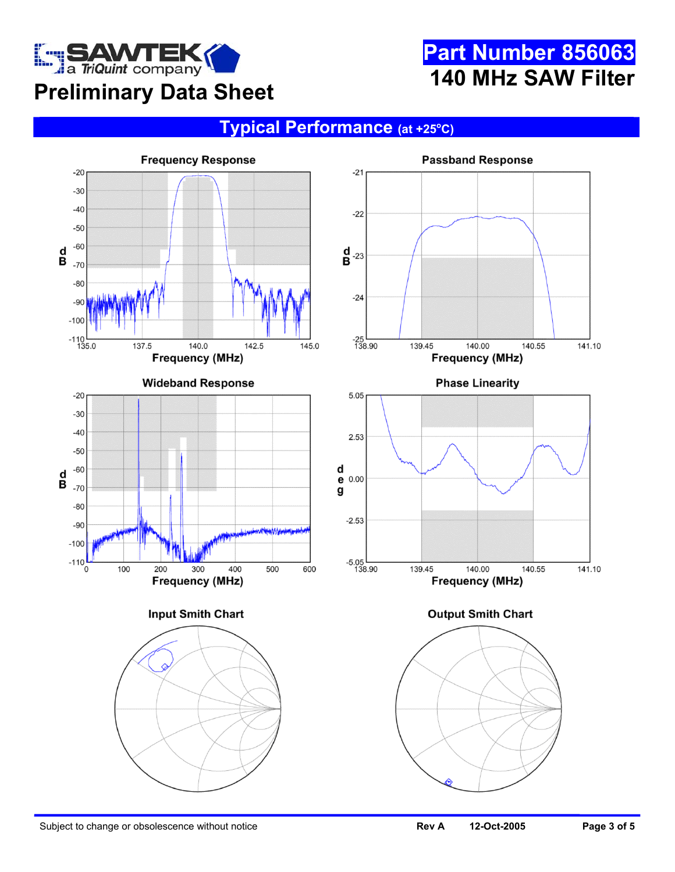

# **Part Number 856063 140 MHz SAW Filter**

### **Typical Performance (at +25o C)**

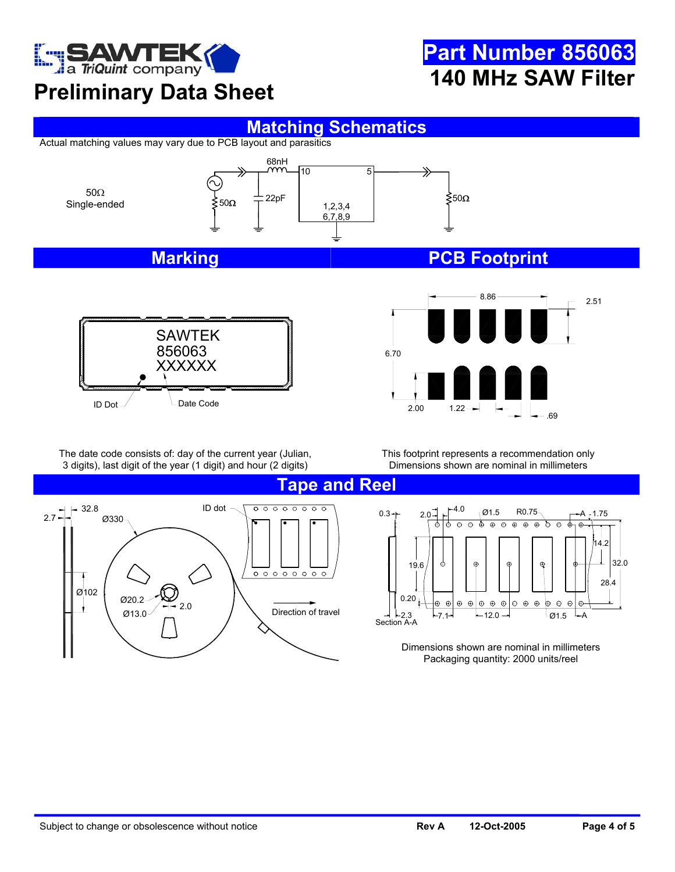

# **Preliminary Data Sheet**

# **Part Number 856063 140 MHz SAW Filter**



Actual matching values may vary due to PCB layout and parasitics





2.51 6.70 8.86 .69  $2.00$ 

The date code consists of: day of the current year (Julian, 3 digits), last digit of the year (1 digit) and hour (2 digits)

This footprint represents a recommendation only Dimensions shown are nominal in millimeters





Dimensions shown are nominal in millimeters Packaging quantity: 2000 units/reel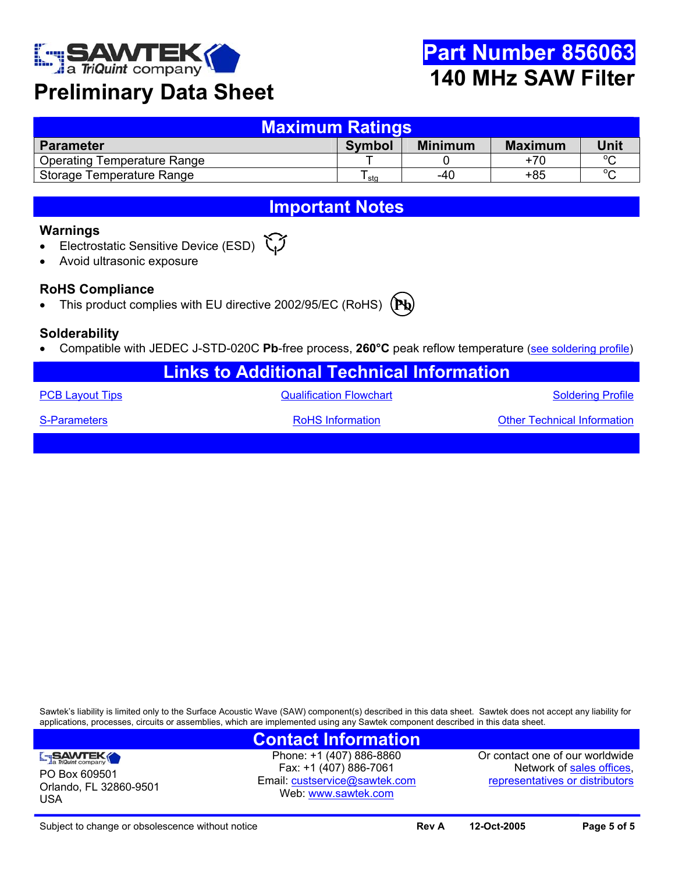

### **Preliminary Data Sheet**

| <b>Maximum Ratings</b>             |               |                |                |         |  |  |
|------------------------------------|---------------|----------------|----------------|---------|--|--|
| <b>Parameter</b>                   | <b>Symbol</b> | <b>Minimum</b> | <b>Maximum</b> | Unit    |  |  |
| <b>Operating Temperature Range</b> |               |                | +70            | $\circ$ |  |  |
| Storage Temperature Range          | sta           | $-40$          | $+85$          | $\circ$ |  |  |

### **Important Notes**

#### **Warnings**

- Electrostatic Sensitive Device (ESD)
- Avoid ultrasonic exposure

### **RoHS Compliance**

• This product complies with EU directive 2002/95/EC (RoHS)



### **Solderability**

• Compatible with JEDEC J-STD-020C **Pb**-free process, **260°C** peak reflow temperature ([see soldering profile](http://www.triquint.com/company/divisions/sawtek/solder.cfm))

| <b>Links to Additional Technical Information</b> |                                |                                    |  |  |  |
|--------------------------------------------------|--------------------------------|------------------------------------|--|--|--|
| <b>PCB Layout Tips</b>                           | <b>Qualification Flowchart</b> | <b>Soldering Profile</b>           |  |  |  |
| S-Parameters                                     | <b>RoHS</b> Information        | <b>Other Technical Information</b> |  |  |  |
|                                                  |                                |                                    |  |  |  |

Sawtek's liability is limited only to the Surface Acoustic Wave (SAW) component(s) described in this data sheet. Sawtek does not accept any liability for applications, processes, circuits or assemblies, which are implemented using any Sawtek component described in this data sheet.

### **Contact Information**

SAWTEK PO Box 609501 Orlando, FL 32860-9501 USA

Phone: +1 (407) 886-8860 Fax: +1 (407) 886-7061 Email: [custservice@sawtek.com](mailto:custservice@sawtek.com) Web: [www.sawtek.com](http://www.triquint.com/company/divisions/sawtek/)

Or contact one of our worldwide Network of [sales offices](http://www.triquint.com/sales/), [representatives or distributors](http://www.triquint.com/sales/)

Subject to change or obsolescence without notice **Review Rev A 12-Oct-2005 Page 5 of 5 Page 5 of 5**